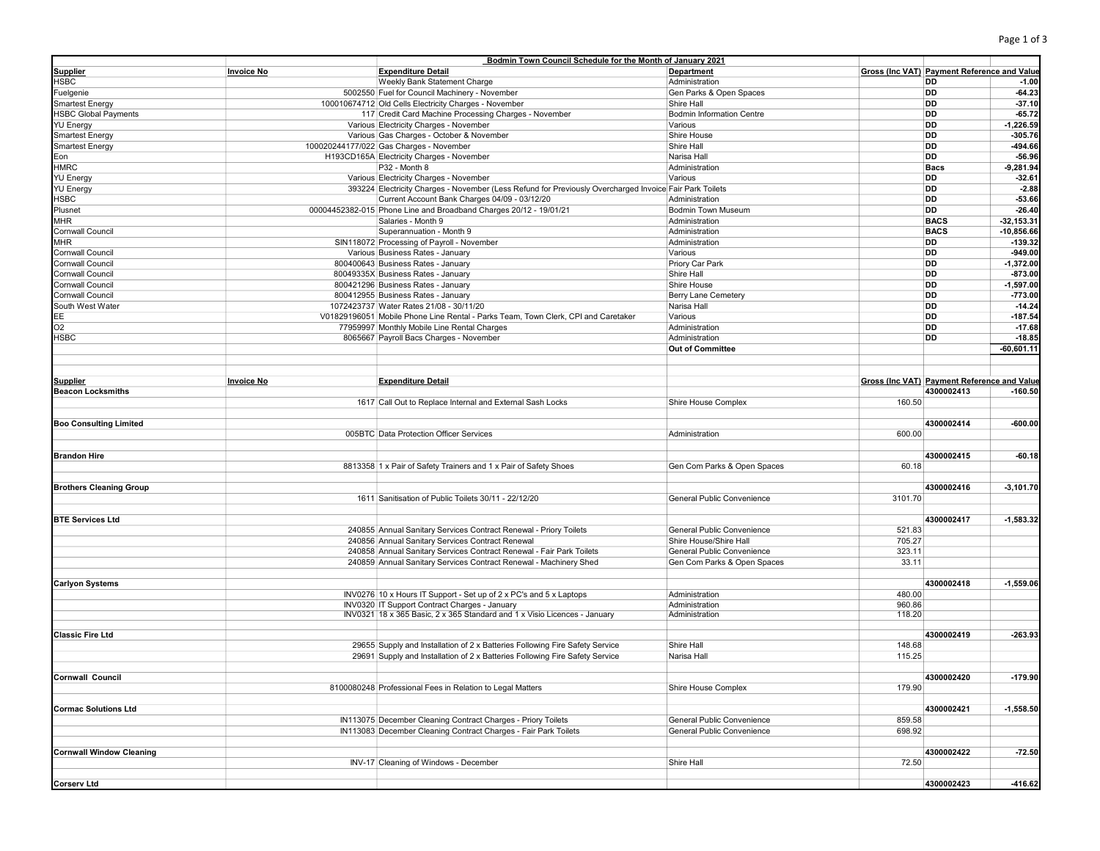|                                 |                   | Bodmin Town Council Schedule for the Month of January 2021                                              |                                  |         |                                                    |               |
|---------------------------------|-------------------|---------------------------------------------------------------------------------------------------------|----------------------------------|---------|----------------------------------------------------|---------------|
| <b>Supplier</b>                 | <b>Invoice No</b> | <b>Expenditure Detail</b>                                                                               | Department                       |         | <b>Gross (Inc VAT) Payment Reference and Value</b> |               |
| HSBC                            |                   | Weekly Bank Statement Charge                                                                            | Administration                   |         | DD                                                 | $-1.00$       |
| Fuelgenie                       |                   | 5002550 Fuel for Council Machinery - November                                                           | Gen Parks & Open Spaces          |         | DD                                                 | $-64.23$      |
| <b>Smartest Energy</b>          |                   | 100010674712 Old Cells Electricity Charges - November                                                   | Shire Hall                       |         | DD                                                 | $-37.10$      |
|                                 |                   |                                                                                                         |                                  |         | DD                                                 | $-65.72$      |
| <b>HSBC Global Payments</b>     |                   | 117 Credit Card Machine Processing Charges - November                                                   | <b>Bodmin Information Centre</b> |         |                                                    |               |
| YU Energy                       |                   | Various Electricity Charges - November                                                                  | Various                          |         | DD                                                 | $-1,226.59$   |
| <b>Smartest Energy</b>          |                   | Various Gas Charges - October & November                                                                | Shire House                      |         | DD                                                 | $-305.76$     |
| <b>Smartest Energy</b>          |                   | 100020244177/022 Gas Charges - November                                                                 | Shire Hall                       |         | DD                                                 | -494.66       |
| Eon                             |                   | H193CD165A Electricity Charges - November                                                               | Narisa Hall                      |         | DD                                                 | $-56.96$      |
| HMRC                            |                   | P32 - Month 8                                                                                           | Administration                   |         | <b>Bacs</b>                                        | $-9,281.94$   |
| YU Energy                       |                   | Various Electricity Charges - November                                                                  | Various                          |         | DD                                                 | $-32.61$      |
| YU Energy                       |                   | 393224 Electricity Charges - November (Less Refund for Previously Overcharged Invoice Fair Park Toilets |                                  |         | DD                                                 | $-2.88$       |
|                                 |                   |                                                                                                         |                                  |         |                                                    |               |
| HSBC                            |                   | Current Account Bank Charges 04/09 - 03/12/20                                                           | Administration                   |         | DD                                                 | $-53.66$      |
| Plusnet                         |                   | 00004452382-015 Phone Line and Broadband Charges 20/12 - 19/01/21                                       | Bodmin Town Museum               |         | DD                                                 | $-26.40$      |
| MHR                             |                   | Salaries - Month 9                                                                                      | Administration                   |         | <b>BACS</b>                                        | $-32, 153.31$ |
| Cornwall Council                |                   | Superannuation - Month 9                                                                                | Administration                   |         | <b>BACS</b>                                        | $-10,856.66$  |
| MHR                             |                   | SIN118072 Processing of Payroll - November                                                              | Administration                   |         | DD                                                 | -139.32       |
| Cornwall Council                |                   | Various Business Rates - January                                                                        | Various                          |         | DD                                                 | $-949.00$     |
| Cornwall Council                |                   | 800400643 Business Rates - January                                                                      | Priory Car Park                  |         | DD                                                 | $-1,372.00$   |
|                                 |                   |                                                                                                         |                                  |         |                                                    |               |
| Cornwall Council                |                   | 80049335X Business Rates - January                                                                      | Shire Hall                       |         | DD                                                 | $-873.00$     |
| Cornwall Council                |                   | 800421296 Business Rates - January                                                                      | Shire House                      |         | DD                                                 | $-1,597.00$   |
| Cornwall Council                |                   | 800412955 Business Rates - January                                                                      | Berry Lane Cemetery              |         | DD                                                 | $-773.00$     |
| South West Water                |                   | 1072423737 Water Rates 21/08 - 30/11/20                                                                 | Narisa Hall                      |         | DD                                                 | $-14.24$      |
| ЕE                              |                   | V01829196051 Mobile Phone Line Rental - Parks Team, Town Clerk, CPI and Caretaker                       | Various                          |         | DD                                                 | $-187.54$     |
| O2                              |                   | 77959997 Monthly Mobile Line Rental Charges                                                             | Administration                   |         | DD                                                 | $-17.68$      |
| HSBC                            |                   | 8065667 Payroll Bacs Charges - November                                                                 | Administration                   |         | DD                                                 | $-18.85$      |
|                                 |                   |                                                                                                         |                                  |         |                                                    |               |
|                                 |                   |                                                                                                         | <b>Out of Committee</b>          |         |                                                    | $-60,601.11$  |
|                                 |                   |                                                                                                         |                                  |         |                                                    |               |
|                                 |                   |                                                                                                         |                                  |         |                                                    |               |
| <b>Supplier</b>                 | <b>Invoice No</b> | <b>Expenditure Detail</b>                                                                               |                                  |         | Gross (Inc VAT) Payment Reference and Value        |               |
| <b>Beacon Locksmiths</b>        |                   |                                                                                                         |                                  |         | 4300002413                                         | $-160.50$     |
|                                 |                   | 1617 Call Out to Replace Internal and External Sash Locks                                               | Shire House Complex              | 160.50  |                                                    |               |
|                                 |                   |                                                                                                         |                                  |         |                                                    |               |
|                                 |                   |                                                                                                         |                                  |         |                                                    |               |
| <b>Boo Consulting Limited</b>   |                   |                                                                                                         |                                  |         | 4300002414                                         | $-600.00$     |
|                                 |                   | 005BTC Data Protection Officer Services                                                                 | Administration                   | 600.00  |                                                    |               |
|                                 |                   |                                                                                                         |                                  |         |                                                    |               |
| <b>Brandon Hire</b>             |                   |                                                                                                         |                                  |         | 4300002415                                         | $-60.18$      |
|                                 |                   | 8813358 1 x Pair of Safety Trainers and 1 x Pair of Safety Shoes                                        | Gen Com Parks & Open Spaces      | 60.18   |                                                    |               |
|                                 |                   |                                                                                                         |                                  |         |                                                    |               |
| <b>Brothers Cleaning Group</b>  |                   |                                                                                                         |                                  |         | 4300002416                                         | $-3,101.70$   |
|                                 |                   | 1611 Sanitisation of Public Toilets 30/11 - 22/12/20                                                    | General Public Convenience       | 3101.70 |                                                    |               |
|                                 |                   |                                                                                                         |                                  |         |                                                    |               |
|                                 |                   |                                                                                                         |                                  |         |                                                    |               |
| <b>BTE Services Ltd</b>         |                   |                                                                                                         |                                  |         | 4300002417                                         | $-1,583.32$   |
|                                 |                   | 240855 Annual Sanitary Services Contract Renewal - Priory Toilets                                       | General Public Convenience       | 521.83  |                                                    |               |
|                                 |                   | 240856 Annual Sanitary Services Contract Renewal                                                        | Shire House/Shire Hall           | 705.27  |                                                    |               |
|                                 |                   | 240858 Annual Sanitary Services Contract Renewal - Fair Park Toilets                                    | General Public Convenience       | 323.11  |                                                    |               |
|                                 |                   | 240859 Annual Sanitary Services Contract Renewal - Machinery Shed                                       | Gen Com Parks & Open Spaces      | 33.11   |                                                    |               |
|                                 |                   |                                                                                                         |                                  |         |                                                    |               |
|                                 |                   |                                                                                                         |                                  |         |                                                    |               |
| Carlyon Systems                 |                   |                                                                                                         |                                  |         | 4300002418                                         | $-1,559.06$   |
|                                 |                   | INV0276 10 x Hours IT Support - Set up of 2 x PC's and 5 x Laptops                                      | Administration                   | 480.00  |                                                    |               |
|                                 |                   | INV0320 IT Support Contract Charges - January                                                           | Administration                   | 960.86  |                                                    |               |
|                                 |                   | INV0321 18 x 365 Basic, 2 x 365 Standard and 1 x Visio Licences - January                               | Administration                   | 118.20  |                                                    |               |
|                                 |                   |                                                                                                         |                                  |         |                                                    |               |
| <b>Classic Fire Ltd</b>         |                   |                                                                                                         |                                  |         | 4300002419                                         | $-263.93$     |
|                                 |                   | 29655 Supply and Installation of 2 x Batteries Following Fire Safety Service                            | Shire Hall                       | 148.68  |                                                    |               |
|                                 |                   |                                                                                                         |                                  |         |                                                    |               |
|                                 |                   |                                                                                                         |                                  |         |                                                    |               |
|                                 |                   | 29691 Supply and Installation of 2 x Batteries Following Fire Safety Service                            | Narisa Hall                      | 115.25  |                                                    |               |
|                                 |                   |                                                                                                         |                                  |         |                                                    |               |
| <b>Cornwall Council</b>         |                   |                                                                                                         |                                  |         | 4300002420                                         | $-179.90$     |
|                                 |                   | 8100080248 Professional Fees in Relation to Legal Matters                                               | Shire House Complex              | 179.90  |                                                    |               |
|                                 |                   |                                                                                                         |                                  |         |                                                    |               |
| <b>Cormac Solutions Ltd</b>     |                   |                                                                                                         |                                  |         | 4300002421                                         | $-1,558.50$   |
|                                 |                   | IN113075 December Cleaning Contract Charges - Priory Toilets                                            | General Public Convenience       | 859.58  |                                                    |               |
|                                 |                   |                                                                                                         |                                  |         |                                                    |               |
|                                 |                   | IN113083 December Cleaning Contract Charges - Fair Park Toilets                                         | General Public Convenience       | 698.92  |                                                    |               |
|                                 |                   |                                                                                                         |                                  |         |                                                    |               |
| <b>Cornwall Window Cleaning</b> |                   |                                                                                                         |                                  |         | 4300002422                                         | $-72.50$      |
|                                 |                   | INV-17 Cleaning of Windows - December                                                                   | Shire Hall                       | 72.50   |                                                    |               |
| <b>Corserv Ltd</b>              |                   |                                                                                                         |                                  |         | 4300002423                                         | -416.62       |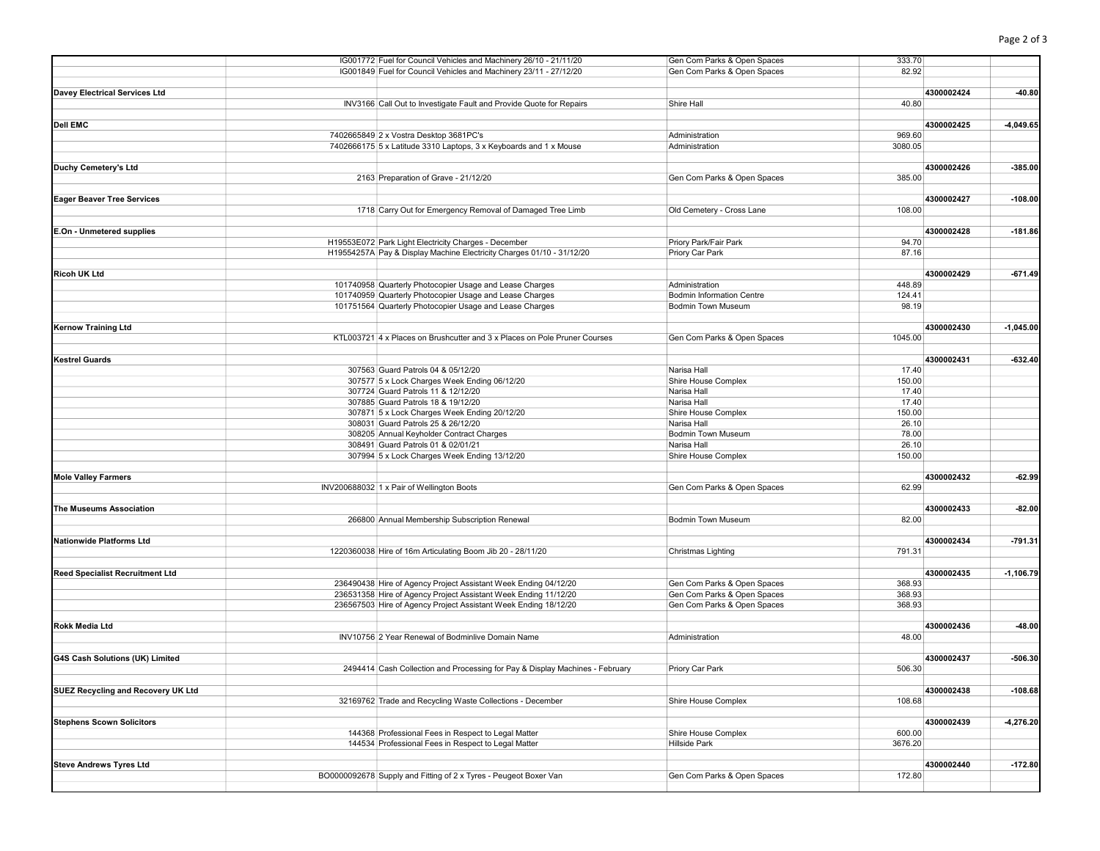|                                           | IG001772 Fuel for Council Vehicles and Machinery 26/10 - 21/11/20            | Gen Com Parks & Open Spaces | 333.70     |             |
|-------------------------------------------|------------------------------------------------------------------------------|-----------------------------|------------|-------------|
|                                           | IG001849 Fuel for Council Vehicles and Machinery 23/11 - 27/12/20            | Gen Com Parks & Open Spaces | 82.92      |             |
|                                           |                                                                              |                             |            |             |
| <b>Davey Electrical Services Ltd</b>      |                                                                              |                             | 4300002424 | $-40.80$    |
|                                           | INV3166 Call Out to Investigate Fault and Provide Quote for Repairs          | Shire Hall                  | 40.80      |             |
|                                           |                                                                              |                             |            |             |
| <b>Dell EMC</b>                           |                                                                              |                             | 4300002425 | $-4,049.65$ |
|                                           | 7402665849 2 x Vostra Desktop 3681PC's                                       | Administration              | 969.60     |             |
|                                           | 7402666175 5 x Latitude 3310 Laptops, 3 x Keyboards and 1 x Mouse            | Administration              | 3080.05    |             |
|                                           |                                                                              |                             |            |             |
| Duchy Cemetery's Ltd                      |                                                                              |                             | 4300002426 | $-385.00$   |
|                                           | 2163 Preparation of Grave - 21/12/20                                         | Gen Com Parks & Open Spaces | 385.00     |             |
|                                           |                                                                              |                             |            |             |
| <b>Eager Beaver Tree Services</b>         |                                                                              |                             | 4300002427 | $-108.00$   |
|                                           | 1718 Carry Out for Emergency Removal of Damaged Tree Limb                    | Old Cemetery - Cross Lane   | 108.00     |             |
|                                           |                                                                              |                             |            |             |
| E.On - Unmetered supplies                 |                                                                              |                             | 4300002428 | $-181.86$   |
|                                           | H19553E072 Park Light Electricity Charges - December                         | Priory Park/Fair Park       | 94.70      |             |
|                                           | H19554257A Pay & Display Machine Electricity Charges 01/10 - 31/12/20        | Priory Car Park             | 87.16      |             |
|                                           |                                                                              |                             |            |             |
| <b>Ricoh UK Ltd</b>                       |                                                                              |                             | 4300002429 | $-671.49$   |
|                                           |                                                                              |                             |            |             |
|                                           | 101740958 Quarterly Photocopier Usage and Lease Charges                      | Administration              | 448.89     |             |
|                                           | 101740959 Quarterly Photocopier Usage and Lease Charges                      | Bodmin Information Centre   | 124.41     |             |
|                                           | 101751564 Quarterly Photocopier Usage and Lease Charges                      | Bodmin Town Museum          | 98.19      |             |
|                                           |                                                                              |                             |            |             |
| <b>Kernow Training Ltd</b>                |                                                                              |                             | 4300002430 | $-1,045.00$ |
|                                           | KTL003721 4 x Places on Brushcutter and 3 x Places on Pole Pruner Courses    | Gen Com Parks & Open Spaces | 1045.00    |             |
|                                           |                                                                              |                             |            |             |
| <b>Kestrel Guards</b>                     |                                                                              |                             | 4300002431 | $-632.40$   |
|                                           | 307563 Guard Patrols 04 & 05/12/20                                           | Narisa Hall                 | 17.40      |             |
|                                           | 307577 5 x Lock Charges Week Ending 06/12/20                                 | Shire House Complex         | 150.00     |             |
|                                           | 307724 Guard Patrols 11 & 12/12/20                                           | Narisa Hall                 | 17.40      |             |
|                                           | 307885 Guard Patrols 18 & 19/12/20                                           | Narisa Hall                 | 17.40      |             |
|                                           | 307871 5 x Lock Charges Week Ending 20/12/20                                 | Shire House Complex         | 150.00     |             |
|                                           | 308031 Guard Patrols 25 & 26/12/20                                           | Narisa Hall                 | 26.10      |             |
|                                           | 308205 Annual Keyholder Contract Charges                                     | <b>Bodmin Town Museum</b>   | 78.00      |             |
|                                           | 308491 Guard Patrols 01 & 02/01/21                                           | Narisa Hall                 | 26.10      |             |
|                                           | 307994 5 x Lock Charges Week Ending 13/12/20                                 | Shire House Complex         | 150.00     |             |
|                                           |                                                                              |                             |            |             |
| <b>Mole Valley Farmers</b>                |                                                                              |                             | 4300002432 | $-62.99$    |
|                                           | INV200688032 1 x Pair of Wellington Boots                                    | Gen Com Parks & Open Spaces | 62.99      |             |
|                                           |                                                                              |                             |            |             |
| <b>The Museums Association</b>            |                                                                              |                             | 4300002433 | $-82.00$    |
|                                           | 266800 Annual Membership Subscription Renewal                                | <b>Bodmin Town Museum</b>   | 82.00      |             |
|                                           |                                                                              |                             |            |             |
| <b>Nationwide Platforms Ltd</b>           |                                                                              |                             | 4300002434 | $-791.31$   |
|                                           | 1220360038 Hire of 16m Articulating Boom Jib 20 - 28/11/20                   | Christmas Lighting          | 791.31     |             |
|                                           |                                                                              |                             |            |             |
| <b>Reed Specialist Recruitment Ltd</b>    |                                                                              |                             | 4300002435 | $-1,106.79$ |
|                                           | 236490438 Hire of Agency Project Assistant Week Ending 04/12/20              | Gen Com Parks & Open Spaces | 368.93     |             |
|                                           | 236531358 Hire of Agency Project Assistant Week Ending 11/12/20              | Gen Com Parks & Open Spaces | 368.93     |             |
|                                           | 236567503 Hire of Agency Project Assistant Week Ending 18/12/20              | Gen Com Parks & Open Spaces | 368.93     |             |
|                                           |                                                                              |                             |            |             |
| <b>Rokk Media Ltd</b>                     |                                                                              |                             | 4300002436 | $-48.00$    |
|                                           | INV10756 2 Year Renewal of Bodminlive Domain Name                            | Administration              | 48.00      |             |
|                                           |                                                                              |                             |            |             |
| G4S Cash Solutions (UK) Limited           |                                                                              |                             | 4300002437 | $-506.30$   |
|                                           | 2494414 Cash Collection and Processing for Pay & Display Machines - February | Priory Car Park             | 506.30     |             |
|                                           |                                                                              |                             |            |             |
| <b>SUEZ Recycling and Recovery UK Ltd</b> |                                                                              |                             | 4300002438 | $-108.68$   |
|                                           | 32169762 Trade and Recycling Waste Collections - December                    | Shire House Complex         | 108.68     |             |
|                                           |                                                                              |                             |            |             |
| <b>Stephens Scown Solicitors</b>          |                                                                              |                             | 4300002439 | $-4,276.20$ |
|                                           | 144368 Professional Fees in Respect to Legal Matter                          | Shire House Complex         | 600.00     |             |
|                                           | 144534 Professional Fees in Respect to Legal Matter                          | <b>Hillside Park</b>        | 3676.20    |             |
|                                           |                                                                              |                             |            |             |
| <b>Steve Andrews Tyres Ltd</b>            |                                                                              |                             | 4300002440 | $-172.80$   |
|                                           | BO0000092678 Supply and Fitting of 2 x Tyres - Peugeot Boxer Van             | Gen Com Parks & Open Spaces | 172.80     |             |
|                                           |                                                                              |                             |            |             |
|                                           |                                                                              |                             |            |             |